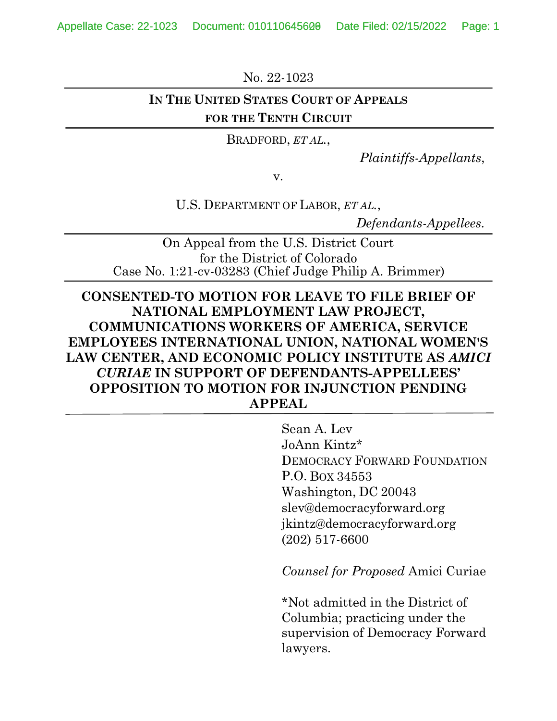Appellate Case: 22-1023 Document: 010110645600 Date Filed: 02/15/2022 Page: 1

No. 22-1023

### **IN THE UNITED STATES COURT OF APPEALS FOR THE TENTH CIRCUIT**

BRADFORD, *ET AL.*,

*Plaintiffs-Appellants*,

v.

U.S. DEPARTMENT OF LABOR, *ET AL.*,

*Defendants-Appellees.*

On Appeal from the U.S. District Court for the District of Colorado Case No. 1:21-cv-03283 (Chief Judge Philip A. Brimmer)

# **CONSENTED-TO MOTION FOR LEAVE TO FILE BRIEF OF NATIONAL EMPLOYMENT LAW PROJECT, COMMUNICATIONS WORKERS OF AMERICA, SERVICE EMPLOYEES INTERNATIONAL UNION, NATIONAL WOMEN'S LAW CENTER, AND ECONOMIC POLICY INSTITUTE AS** *AMICI CURIAE* **IN SUPPORT OF DEFENDANTS-APPELLEES' OPPOSITION TO MOTION FOR INJUNCTION PENDING APPEAL**

Sean A. Lev JoAnn Kintz\* DEMOCRACY FORWARD FOUNDATION P.O. BOX 34553 Washington, DC 20043 slev@democracyforward.org jkintz@democracyforward.org (202) 517-6600

*Counsel for Proposed* Amici Curiae

\*Not admitted in the District of Columbia; practicing under the supervision of Democracy Forward lawyers.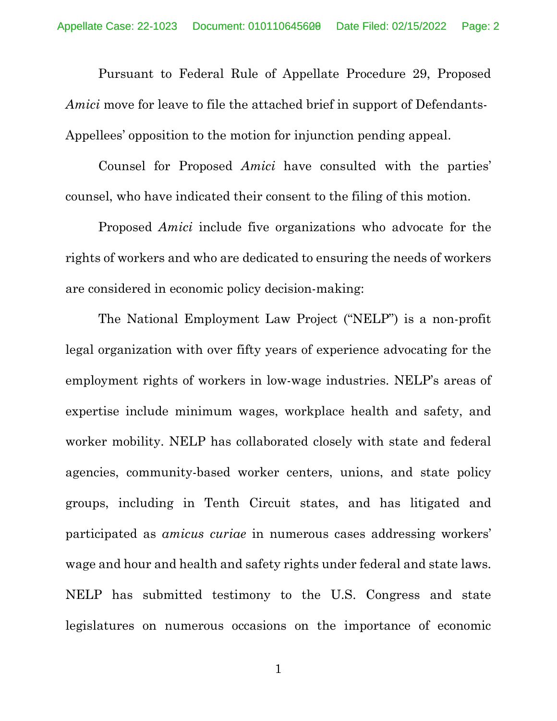Pursuant to Federal Rule of Appellate Procedure 29, Proposed *Amici* move for leave to file the attached brief in support of Defendants-Appellees' opposition to the motion for injunction pending appeal.

Counsel for Proposed *Amici* have consulted with the parties' counsel, who have indicated their consent to the filing of this motion.

Proposed *Amici* include five organizations who advocate for the rights of workers and who are dedicated to ensuring the needs of workers are considered in economic policy decision-making:

The National Employment Law Project ("NELP") is a non-profit legal organization with over fifty years of experience advocating for the employment rights of workers in low-wage industries. NELP's areas of expertise include minimum wages, workplace health and safety, and worker mobility. NELP has collaborated closely with state and federal agencies, community-based worker centers, unions, and state policy groups, including in Tenth Circuit states, and has litigated and participated as *amicus curiae* in numerous cases addressing workers' wage and hour and health and safety rights under federal and state laws. NELP has submitted testimony to the U.S. Congress and state legislatures on numerous occasions on the importance of economic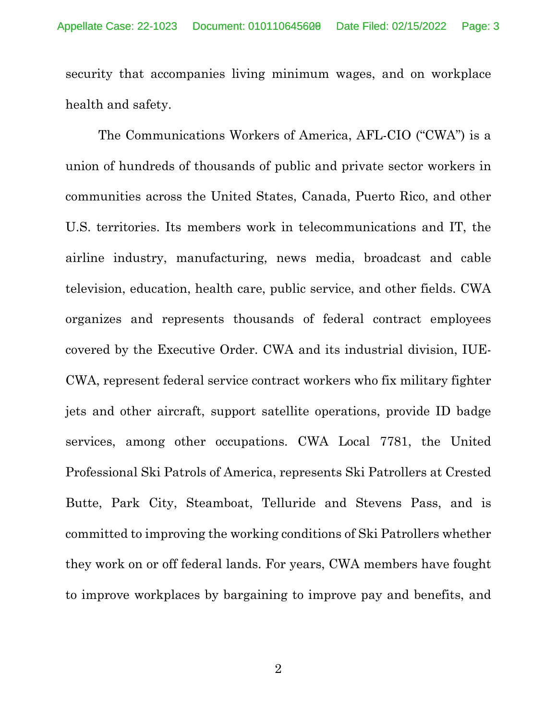security that accompanies living minimum wages, and on workplace health and safety.

The Communications Workers of America, AFL-CIO ("CWA") is a union of hundreds of thousands of public and private sector workers in communities across the United States, Canada, Puerto Rico, and other U.S. territories. Its members work in telecommunications and IT, the airline industry, manufacturing, news media, broadcast and cable television, education, health care, public service, and other fields. CWA organizes and represents thousands of federal contract employees covered by the Executive Order. CWA and its industrial division, IUE-CWA, represent federal service contract workers who fix military fighter jets and other aircraft, support satellite operations, provide ID badge services, among other occupations. CWA Local 7781, the United Professional Ski Patrols of America, represents Ski Patrollers at Crested Butte, Park City, Steamboat, Telluride and Stevens Pass, and is committed to improving the working conditions of Ski Patrollers whether they work on or off federal lands. For years, CWA members have fought to improve workplaces by bargaining to improve pay and benefits, and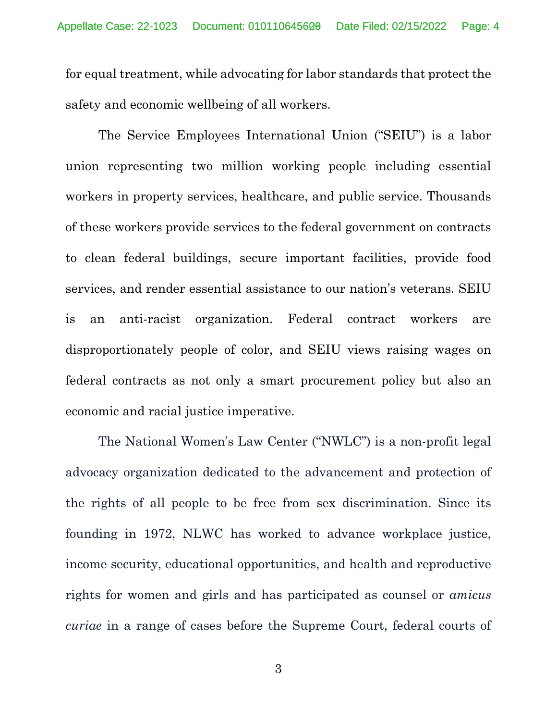for equal treatment, while advocating for labor standards that protect the safety and economic wellbeing of all workers.

The Service Employees International Union ("SEIU") is a labor union representing two million working people including essential workers in property services, healthcare, and public service. Thousands of these workers provide services to the federal government on contracts to clean federal buildings, secure important facilities, provide food services, and render essential assistance to our nation's veterans. SEIU is an anti-racist organization. Federal contract workers are disproportionately people of color, and SEIU views raising wages on federal contracts as not only a smart procurement policy but also an economic and racial justice imperative.

The National Women's Law Center ("NWLC") is a non-profit legal advocacy organization dedicated to the advancement and protection of the rights of all people to be free from sex discrimination. Since its founding in 1972, NLWC has worked to advance workplace justice, income security, educational opportunities, and health and reproductive rights for women and girls and has participated as counsel or *amicus curiae* in a range of cases before the Supreme Court, federal courts of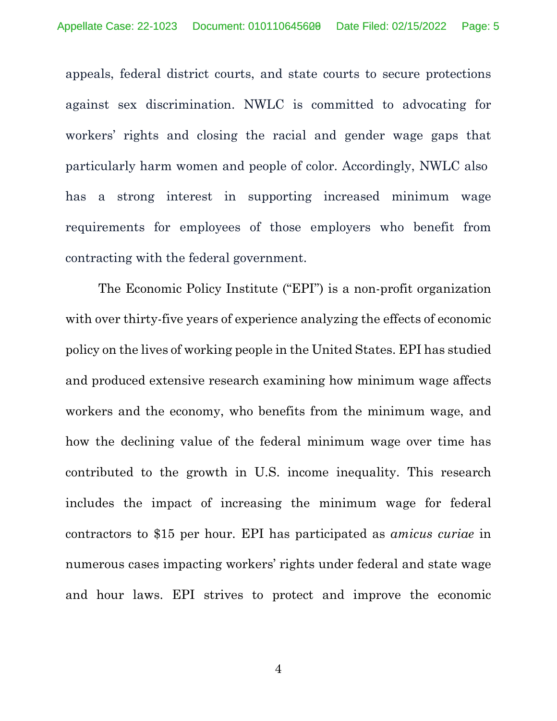appeals, federal district courts, and state courts to secure protections against sex discrimination. NWLC is committed to advocating for workers' rights and closing the racial and gender wage gaps that particularly harm women and people of color. Accordingly, NWLC also has a strong interest in supporting increased minimum wage requirements for employees of those employers who benefit from contracting with the federal government.

The Economic Policy Institute ("EPI") is a non-profit organization with over thirty-five years of experience analyzing the effects of economic policy on the lives of working people in the United States. EPI has studied and produced extensive research examining how minimum wage affects workers and the economy, who benefits from the minimum wage, and how the declining value of the federal minimum wage over time has contributed to the growth in U.S. income inequality. This research includes the impact of increasing the minimum wage for federal contractors to \$15 per hour. EPI has participated as *amicus curiae* in numerous cases impacting workers' rights under federal and state wage and hour laws. EPI strives to protect and improve the economic

4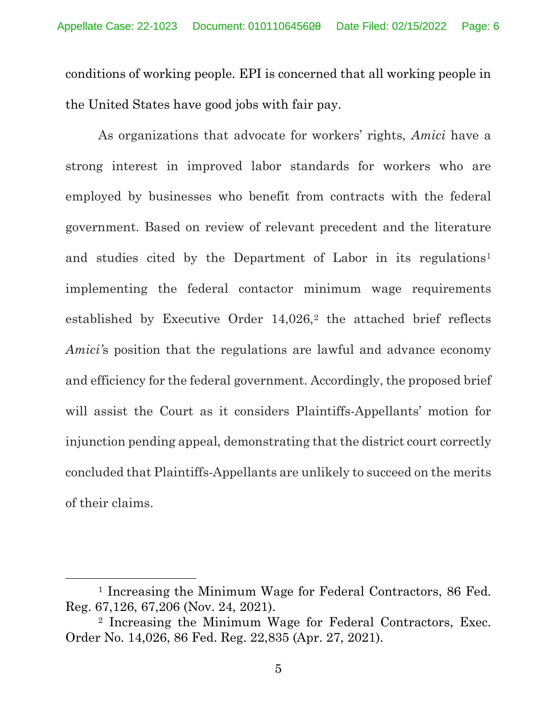conditions of working people. EPI is concerned that all working people in the United States have good jobs with fair pay.

As organizations that advocate for workers' rights, *Amici* have a strong interest in improved labor standards for workers who are employed by businesses who benefit from contracts with the federal government. Based on review of relevant precedent and the literature and studies cited by the Department of Labor in its regulations<sup>[1](#page-29-0)</sup> implementing the federal contactor minimum wage requirements established by Executive Order 14,0[2](#page-29-0)6,<sup>2</sup> the attached brief reflects *Amici'*s position that the regulations are lawful and advance economy and efficiency for the federal government. Accordingly, the proposed brief will assist the Court as it considers Plaintiffs-Appellants' motion for injunction pending appeal, demonstrating that the district court correctly concluded that Plaintiffs-Appellants are unlikely to succeed on the merits of their claims.

<sup>1</sup> Increasing the Minimum Wage for Federal Contractors, 86 Fed. Reg. 67,126, 67,206 (Nov. 24, 2021).

<sup>2</sup> Increasing the Minimum Wage for Federal Contractors, Exec. Order No. 14,026, 86 Fed. Reg. 22,835 (Apr. 27, 2021).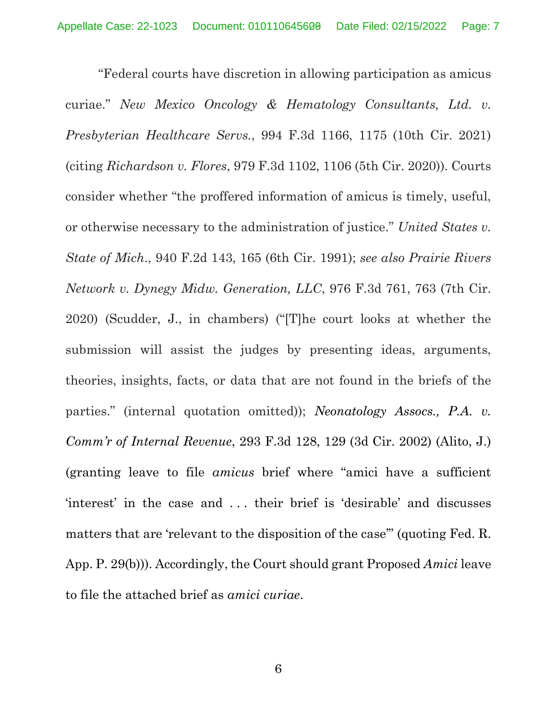"Federal courts have discretion in allowing participation as amicus curiae." *New Mexico Oncology & Hematology Consultants, Ltd. v. Presbyterian Healthcare Servs.*, 994 F.3d 1166, 1175 (10th Cir. 2021) (citing *Richardson v. Flores*, 979 F.3d 1102, 1106 (5th Cir. 2020)). Courts consider whether "the proffered information of amicus is timely, useful, or otherwise necessary to the administration of justice." *United States v. State of Mich*., 940 F.2d 143, 165 (6th Cir. 1991); *see also Prairie Rivers Network v. Dynegy Midw. Generation, LLC*, 976 F.3d 761, 763 (7th Cir. 2020) (Scudder, J., in chambers) ("[T]he court looks at whether the submission will assist the judges by presenting ideas, arguments, theories, insights, facts, or data that are not found in the briefs of the parties." (internal quotation omitted)); *Neonatology Assocs., P.A. v. Comm'r of Internal Revenue*, 293 F.3d 128, 129 (3d Cir. 2002) (Alito, J.) (granting leave to file *amicus* brief where "amici have a sufficient 'interest' in the case and . . . their brief is 'desirable' and discusses matters that are 'relevant to the disposition of the case'' (quoting Fed. R. App. P. 29(b))). Accordingly, the Court should grant Proposed *Amici* leave to file the attached brief as *amici curiae*.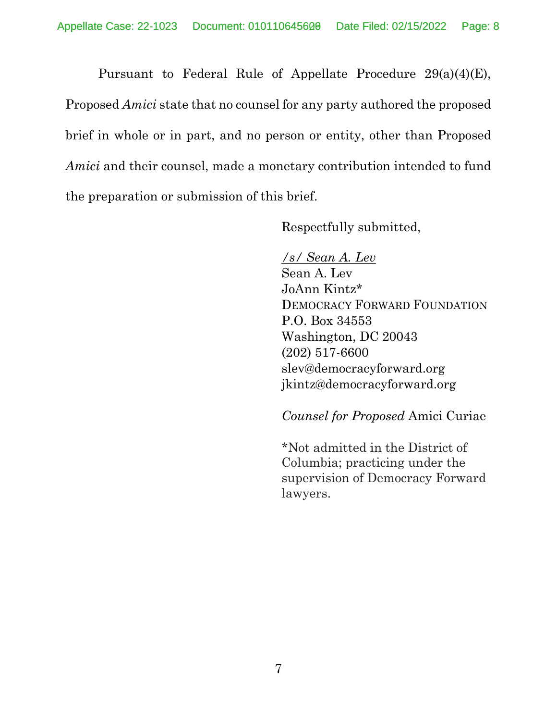Pursuant to Federal Rule of Appellate Procedure 29(a)(4)(E), Proposed *Amici* state that no counsel for any party authored the proposed brief in whole or in part, and no person or entity, other than Proposed *Amici* and their counsel, made a monetary contribution intended to fund the preparation or submission of this brief.

Respectfully submitted,

*/s/ Sean A. Lev* Sean A. Lev JoAnn Kintz\* DEMOCRACY FORWARD FOUNDATION P.O. Box 34553 Washington, DC 20043 (202) 517-6600 slev@democracyforward.org jkintz@democracyforward.org

*Counsel for Proposed* Amici Curiae

\*Not admitted in the District of Columbia; practicing under the supervision of Democracy Forward lawyers.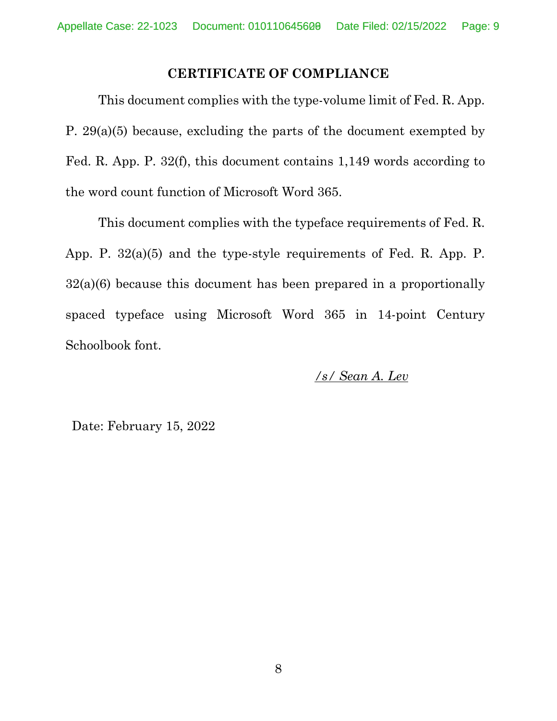### **CERTIFICATE OF COMPLIANCE**

This document complies with the type-volume limit of Fed. R. App. P. 29(a)(5) because, excluding the parts of the document exempted by Fed. R. App. P. 32(f), this document contains 1,149 words according to the word count function of Microsoft Word 365.

This document complies with the typeface requirements of Fed. R. App. P. 32(a)(5) and the type-style requirements of Fed. R. App. P. 32(a)(6) because this document has been prepared in a proportionally spaced typeface using Microsoft Word 365 in 14-point Century Schoolbook font.

*/s/ Sean A. Lev*

Date: February 15, 2022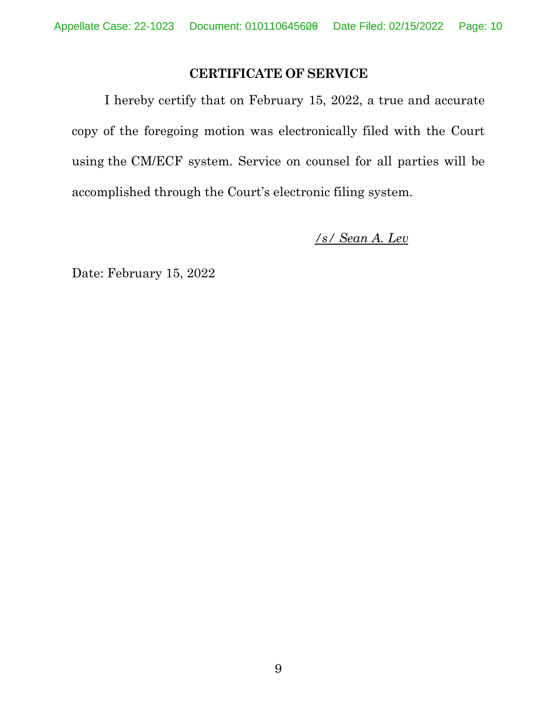## **CERTIFICATE OF SERVICE**

I hereby certify that on February 15, 2022, a true and accurate copy of the foregoing motion was electronically filed with the Court using the CM/ECF system. Service on counsel for all parties will be accomplished through the Court's electronic filing system.

*/s/ Sean A. Lev*

Date: February 15, 2022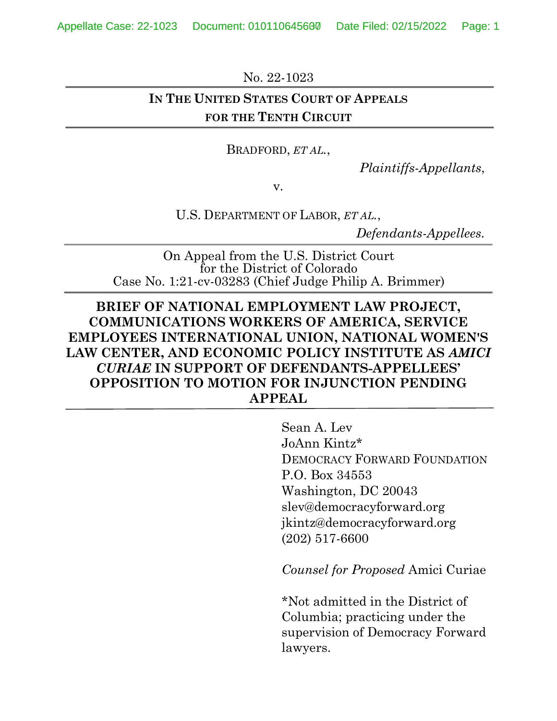Appellate Case: 22-1023 Document: 010110645600 Date Filed: 02/15/2022 Page: 1

No. 22-1023

# **IN THE UNITED STATES COURT OF APPEALS FOR THE TENTH CIRCUIT**

BRADFORD, *ET AL.*,

*Plaintiffs-Appellants*,

v.

U.S. DEPARTMENT OF LABOR, *ET AL.*,

*Defendants-Appellees.*

On Appeal from the U.S. District Court for the District of Colorado Case No. 1:21-cv-03283 (Chief Judge Philip A. Brimmer)

# **BRIEF OF NATIONAL EMPLOYMENT LAW PROJECT, COMMUNICATIONS WORKERS OF AMERICA, SERVICE EMPLOYEES INTERNATIONAL UNION, NATIONAL WOMEN'S LAW CENTER, AND ECONOMIC POLICY INSTITUTE AS** *AMICI CURIAE* **IN SUPPORT OF DEFENDANTS-APPELLEES' OPPOSITION TO MOTION FOR INJUNCTION PENDING APPEAL**

Sean A. Lev JoAnn Kintz\* DEMOCRACY FORWARD FOUNDATION P.O. Box 34553 Washington, DC 20043 slev@democracyforward.org jkintz@democracyforward.org (202) 517-6600

*Counsel for Proposed* Amici Curiae

\*Not admitted in the District of Columbia; practicing under the supervision of Democracy Forward lawyers.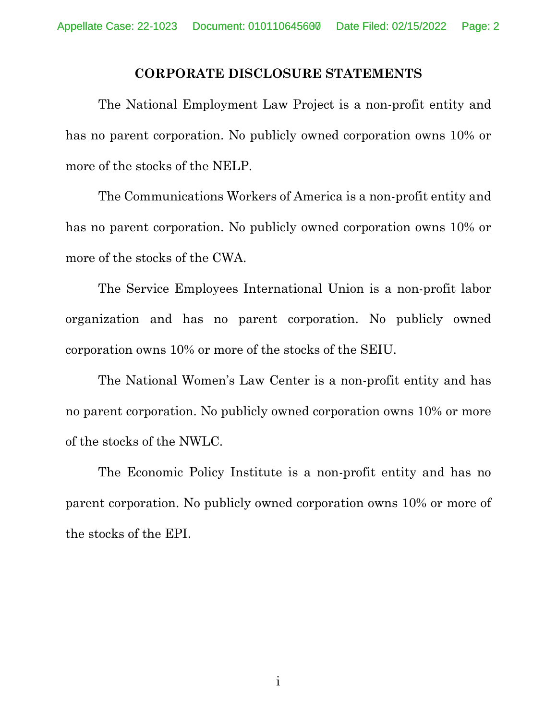#### **CORPORATE DISCLOSURE STATEMENTS**

The National Employment Law Project is a non-profit entity and has no parent corporation. No publicly owned corporation owns 10% or more of the stocks of the NELP.

The Communications Workers of America is a non-profit entity and has no parent corporation. No publicly owned corporation owns 10% or more of the stocks of the CWA.

The Service Employees International Union is a non-profit labor organization and has no parent corporation. No publicly owned corporation owns 10% or more of the stocks of the SEIU.

The National Women's Law Center is a non-profit entity and has no parent corporation. No publicly owned corporation owns 10% or more of the stocks of the NWLC.

The Economic Policy Institute is a non-profit entity and has no parent corporation. No publicly owned corporation owns 10% or more of the stocks of the EPI.

i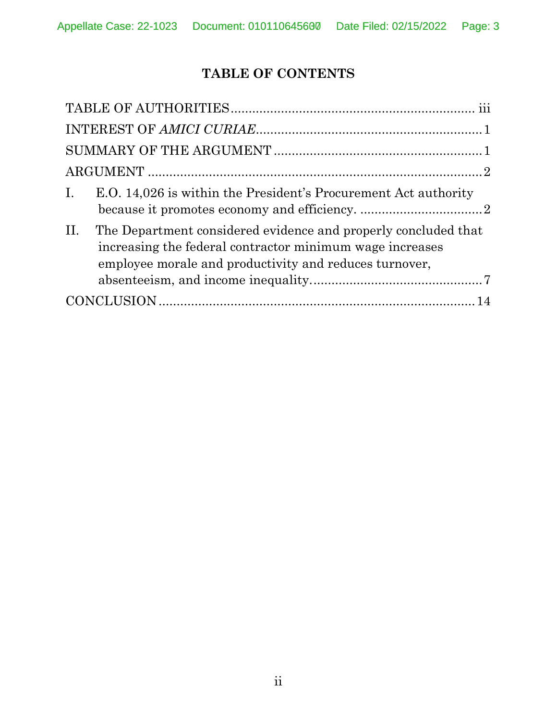# **TABLE OF CONTENTS**

| E.O. 14,026 is within the President's Procurement Act authority<br>The Department considered evidence and properly concluded that<br>increasing the federal contractor minimum wage increases<br>employee morale and productivity and reduces turnover, |                |
|---------------------------------------------------------------------------------------------------------------------------------------------------------------------------------------------------------------------------------------------------------|----------------|
|                                                                                                                                                                                                                                                         |                |
|                                                                                                                                                                                                                                                         |                |
|                                                                                                                                                                                                                                                         |                |
|                                                                                                                                                                                                                                                         | $\mathbf{I}$ . |
|                                                                                                                                                                                                                                                         | II.            |
|                                                                                                                                                                                                                                                         |                |
|                                                                                                                                                                                                                                                         |                |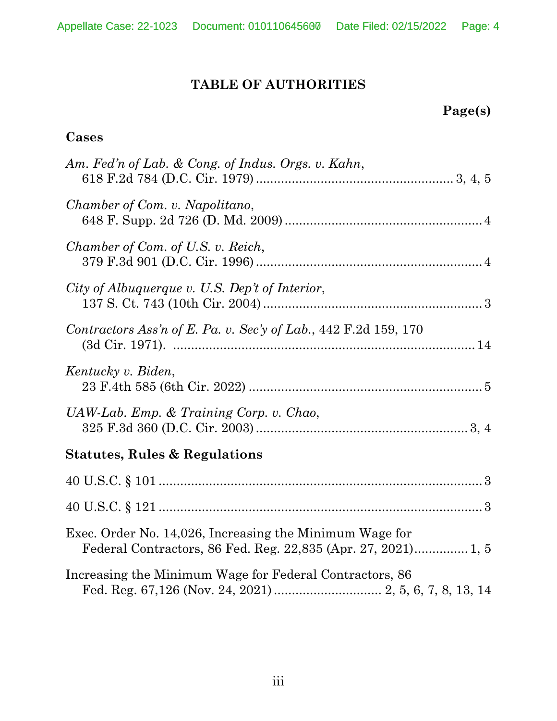# **TABLE OF AUTHORITIES**

# **Page(s)**

# **Cases**

| Am. Fed'n of Lab. & Cong. of Indus. Orgs. v. Kahn,              |
|-----------------------------------------------------------------|
| Chamber of Com. v. Napolitano,                                  |
| Chamber of Com. of U.S. v. Reich,                               |
| City of Albuquerque v. U.S. Dep't of Interior,                  |
| Contractors Ass'n of E. Pa. v. Sec'y of Lab., 442 F.2d 159, 170 |
| Kentucky v. Biden,                                              |
| $UAW-Lab$ . Emp. & Training Corp. v. Chao,                      |
| <b>Statutes, Rules &amp; Regulations</b>                        |
|                                                                 |
|                                                                 |
| Exec. Order No. 14,026, Increasing the Minimum Wage for         |
| Increasing the Minimum Wage for Federal Contractors, 86         |
|                                                                 |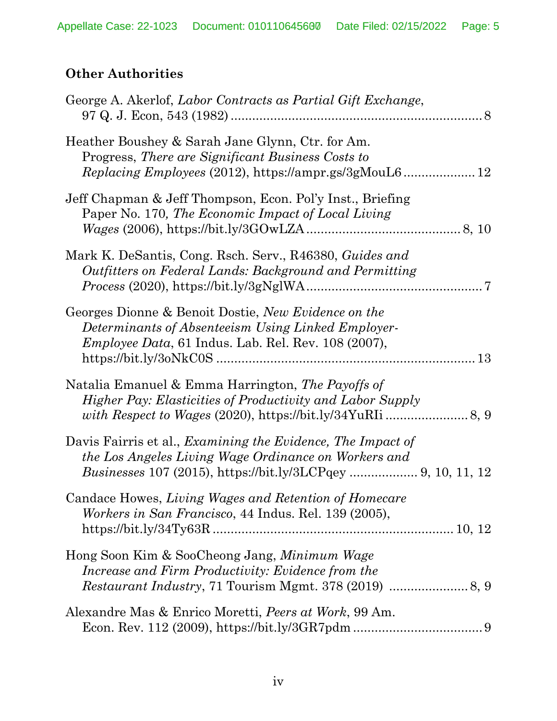# **Other Authorities**

| George A. Akerlof, Labor Contracts as Partial Gift Exchange,                                                                                                                   |
|--------------------------------------------------------------------------------------------------------------------------------------------------------------------------------|
| Heather Boushey & Sarah Jane Glynn, Ctr. for Am.<br>Progress, There are Significant Business Costs to                                                                          |
| Jeff Chapman & Jeff Thompson, Econ. Pol'y Inst., Briefing<br>Paper No. 170, The Economic Impact of Local Living                                                                |
| Mark K. DeSantis, Cong. Rsch. Serv., R46380, Guides and<br>Outfitters on Federal Lands: Background and Permitting                                                              |
| Georges Dionne & Benoit Dostie, New Evidence on the<br>Determinants of Absenteeism Using Linked Employer-<br><i>Employee Data</i> , 61 Indus. Lab. Rel. Rev. 108 (2007),<br>13 |
| Natalia Emanuel & Emma Harrington, The Payoffs of<br><i>Higher Pay: Elasticities of Productivity and Labor Supply</i>                                                          |
| Davis Fairris et al., Examining the Evidence, The Impact of<br>the Los Angeles Living Wage Ordinance on Workers and                                                            |
| Candace Howes, Living Wages and Retention of Homecare<br><i>Workers in San Francisco</i> , 44 Indus. Rel. 139 (2005),                                                          |
| Hong Soon Kim & SooCheong Jang, <i>Minimum Wage</i><br>Increase and Firm Productivity: Evidence from the                                                                       |
| Alexandre Mas & Enrico Moretti, Peers at Work, 99 Am.                                                                                                                          |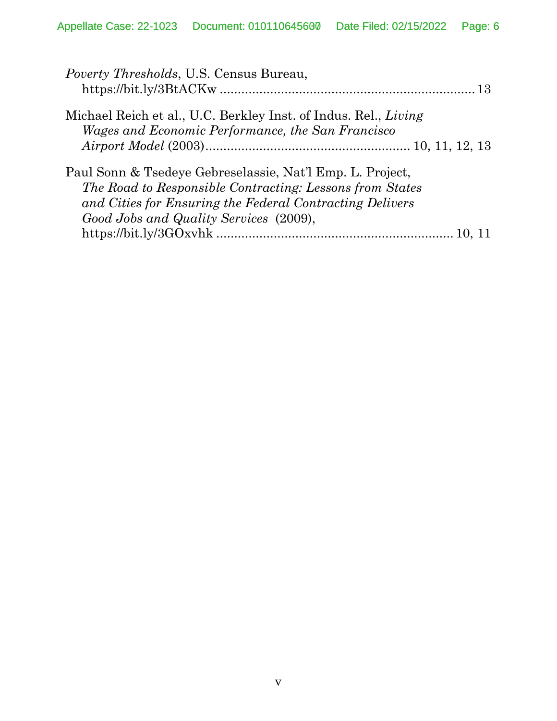| <i>Poverty Thresholds</i> , U.S. Census Bureau,                 |  |
|-----------------------------------------------------------------|--|
|                                                                 |  |
| Michael Reich et al., U.C. Berkley Inst. of Indus. Rel., Living |  |
| Wages and Economic Performance, the San Francisco               |  |
|                                                                 |  |
| Paul Sonn & Tsedeye Gebreselassie, Nat'l Emp. L. Project,       |  |
| The Road to Responsible Contracting: Lessons from States        |  |
| and Cities for Ensuring the Federal Contracting Delivers        |  |
| Good Jobs and Quality Services (2009),                          |  |
|                                                                 |  |
|                                                                 |  |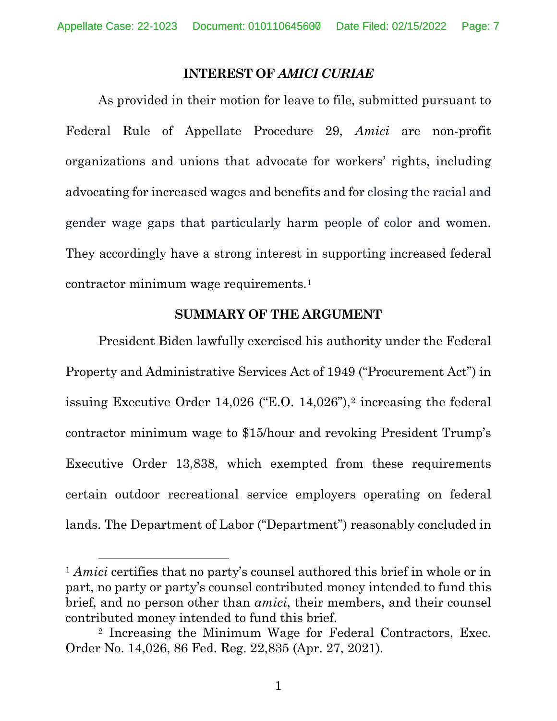#### **INTEREST OF** *AMICI CURIAE*

As provided in their motion for leave to file, submitted pursuant to Federal Rule of Appellate Procedure 29, *Amici* are non-profit organizations and unions that advocate for workers' rights, including advocating for increased wages and benefits and for closing the racial and gender wage gaps that particularly harm people of color and women. They accordingly have a strong interest in supporting increased federal contractor minimum wage requirements.[1](#page-29-0)

#### **SUMMARY OF THE ARGUMENT**

President Biden lawfully exercised his authority under the Federal Property and Administrative Services Act of 1949 ("Procurement Act") in issuing Executive Order 14,026 ("E.O. 14,026"),[2](#page-29-0) increasing the federal contractor minimum wage to \$15/hour and revoking President Trump's Executive Order 13,838, which exempted from these requirements certain outdoor recreational service employers operating on federal lands. The Department of Labor ("Department") reasonably concluded in

<sup>&</sup>lt;sup>1</sup> *Amici* certifies that no party's counsel authored this brief in whole or in part, no party or party's counsel contributed money intended to fund this brief, and no person other than *amici*, their members, and their counsel contributed money intended to fund this brief.

<sup>2</sup> Increasing the Minimum Wage for Federal Contractors, Exec. Order No. 14,026, 86 Fed. Reg. 22,835 (Apr. 27, 2021).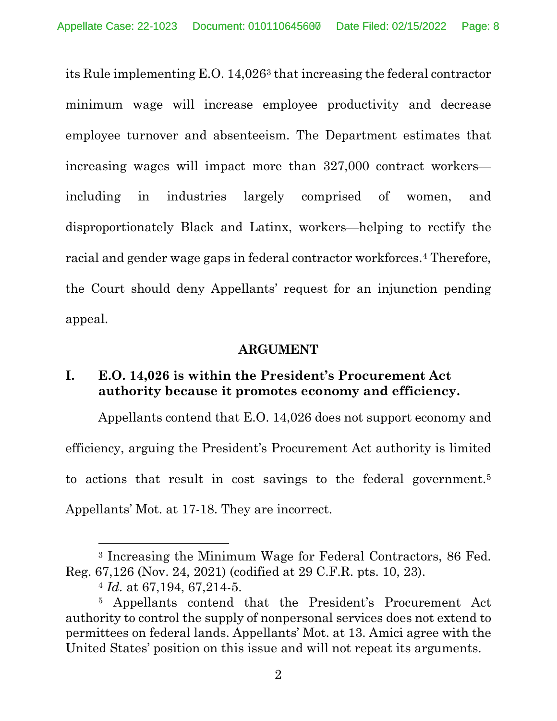its Rule implementing E.O. 14,026[3](#page-29-0) that increasing the federal contractor minimum wage will increase employee productivity and decrease employee turnover and absenteeism. The Department estimates that increasing wages will impact more than 327,000 contract workers including in industries largely comprised of women, and disproportionately Black and Latinx, workers—helping to rectify the racial and gender wage gaps in federal contractor workforces.[4](#page-29-0) Therefore, the Court should deny Appellants' request for an injunction pending appeal.

### **ARGUMENT**

## **I. E.O. 14,026 is within the President's Procurement Act authority because it promotes economy and efficiency.**

Appellants contend that E.O. 14,026 does not support economy and efficiency, arguing the President's Procurement Act authority is limited to actions that result in cost savings to the federal government.[5](#page-29-0) Appellants' Mot. at 17-18. They are incorrect.

<sup>3</sup> Increasing the Minimum Wage for Federal Contractors, 86 Fed. Reg. 67,126 (Nov. 24, 2021) (codified at 29 C.F.R. pts. 10, 23).

<sup>4</sup> *Id.* at 67,194, 67,214-5.

<sup>5</sup> Appellants contend that the President's Procurement Act authority to control the supply of nonpersonal services does not extend to permittees on federal lands. Appellants' Mot. at 13. Amici agree with the United States' position on this issue and will not repeat its arguments.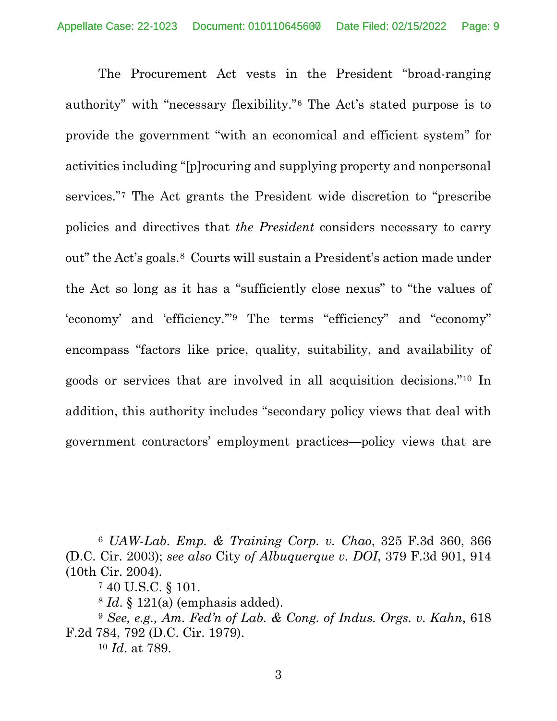The Procurement Act vests in the President "broad-ranging authority" with "necessary flexibility."[6](#page-29-0) The Act's stated purpose is to provide the government "with an economical and efficient system" for activities including "[p]rocuring and supplying property and nonpersonal services."[7](#page-29-0) The Act grants the President wide discretion to "prescribe policies and directives that *the President* considers necessary to carry out" the Act's goals.[8](#page-29-0) Courts will sustain a President's action made under the Act so long as it has a "sufficiently close nexus" to "the values of 'economy' and 'efficiency.'"[9](#page-29-0) The terms "efficiency" and "economy" encompass "factors like price, quality, suitability, and availability of goods or services that are involved in all acquisition decisions."[10](#page-29-0) In addition, this authority includes "secondary policy views that deal with government contractors' employment practices—policy views that are

<sup>6</sup> *UAW-Lab. Emp. & Training Corp. v. Chao*, 325 F.3d 360, 366 (D.C. Cir. 2003); *see also* City *of Albuquerque v. DOI*, 379 F.3d 901, 914 (10th Cir. 2004).

<sup>7</sup> 40 U.S.C. § 101.

<sup>8</sup> *Id*. § 121(a) (emphasis added).

<sup>9</sup> *See, e.g., Am. Fed'n of Lab. & Cong. of Indus. Orgs. v. Kahn*, 618 F.2d 784, 792 (D.C. Cir. 1979).

<sup>10</sup> *Id*. at 789.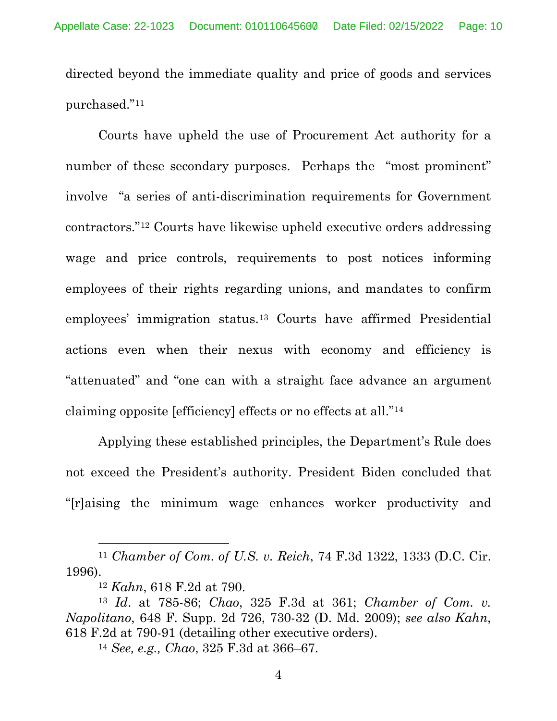directed beyond the immediate quality and price of goods and services purchased."[11](#page-29-0)

Courts have upheld the use of Procurement Act authority for a number of these secondary purposes. Perhaps the "most prominent" involve "a series of anti-discrimination requirements for Government contractors.["12](#page-29-0) Courts have likewise upheld executive orders addressing wage and price controls, requirements to post notices informing employees of their rights regarding unions, and mandates to confirm employees' immigration status.[13](#page-29-0) Courts have affirmed Presidential actions even when their nexus with economy and efficiency is "attenuated" and "one can with a straight face advance an argument claiming opposite [efficiency] effects or no effects at all."[14](#page-29-0)

Applying these established principles, the Department's Rule does not exceed the President's authority. President Biden concluded that "[r]aising the minimum wage enhances worker productivity and

<sup>11</sup> *Chamber of Com. of U.S. v. Reich*, 74 F.3d 1322, 1333 (D.C. Cir. 1996).

<sup>12</sup> *Kahn*, 618 F.2d at 790.

<sup>13</sup> *Id*. at 785-86; *Chao*, 325 F.3d at 361; *Chamber of Com. v. Napolitano*, 648 F. Supp. 2d 726, 730-32 (D. Md. 2009); *see also Kahn*, 618 F.2d at 790-91 (detailing other executive orders).

<sup>14</sup> *See, e.g., Chao*, 325 F.3d at 366–67.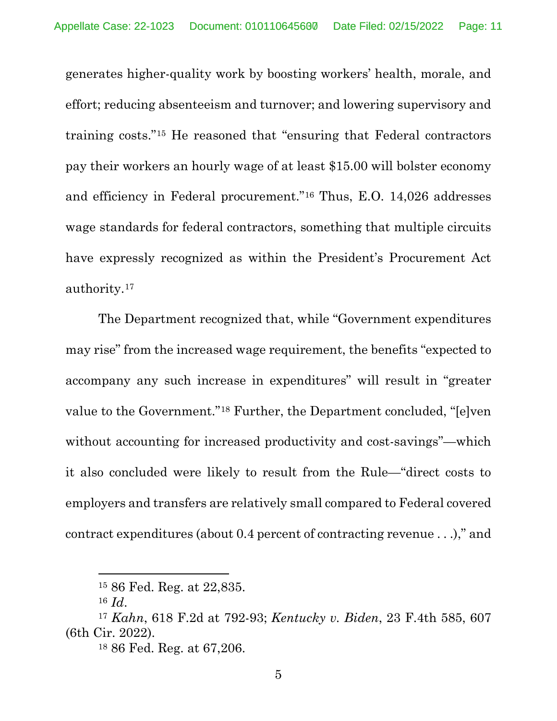generates higher-quality work by boosting workers' health, morale, and effort; reducing absenteeism and turnover; and lowering supervisory and training costs."[15](#page-29-0) He reasoned that "ensuring that Federal contractors pay their workers an hourly wage of at least \$15.00 will bolster economy and efficiency in Federal procurement."[16](#page-29-0) Thus, E.O. 14,026 addresses wage standards for federal contractors, something that multiple circuits have expressly recognized as within the President's Procurement Act authority.[17](#page-29-0)

The Department recognized that, while "Government expenditures may rise" from the increased wage requirement, the benefits "expected to accompany any such increase in expenditures" will result in "greater value to the Government."[18](#page-29-0) Further, the Department concluded, "[e]ven without accounting for increased productivity and cost-savings"—which it also concluded were likely to result from the Rule—"direct costs to employers and transfers are relatively small compared to Federal covered contract expenditures (about 0.4 percent of contracting revenue . . .)," and

<sup>15</sup> 86 Fed. Reg. at 22,835.

<sup>16</sup> *Id*.

<sup>17</sup> *Kahn*, 618 F.2d at 792-93; *Kentucky v. Biden*, 23 F.4th 585, 607 (6th Cir. 2022).

<sup>18</sup> 86 Fed. Reg. at 67,206.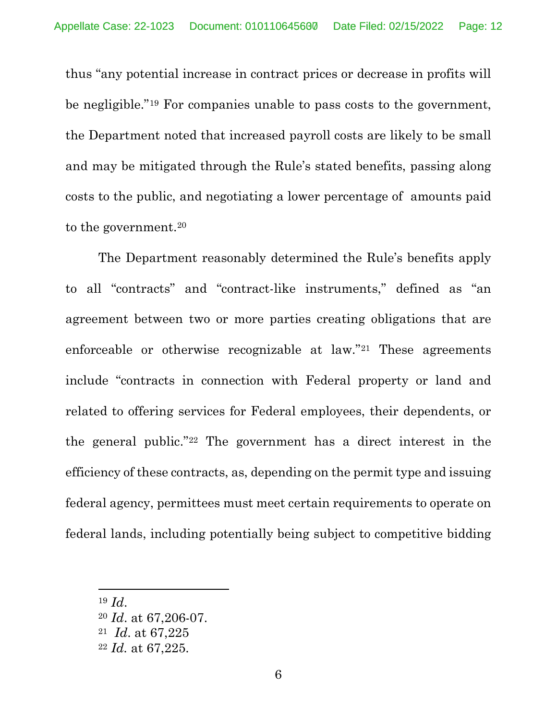thus "any potential increase in contract prices or decrease in profits will be negligible."[19](#page-29-0) For companies unable to pass costs to the government, the Department noted that increased payroll costs are likely to be small and may be mitigated through the Rule's stated benefits, passing along costs to the public, and negotiating a lower percentage of amounts paid to the government.<sup>[20](#page-29-0)</sup>

The Department reasonably determined the Rule's benefits apply to all "contracts" and "contract-like instruments," defined as "an agreement between two or more parties creating obligations that are enforceable or otherwise recognizable at law."[21](#page-29-0) These agreements include "contracts in connection with Federal property or land and related to offering services for Federal employees, their dependents, or the general public."[22](#page-29-0) The government has a direct interest in the efficiency of these contracts, as, depending on the permit type and issuing federal agency, permittees must meet certain requirements to operate on federal lands, including potentially being subject to competitive bidding

<sup>19</sup> *Id*.

<sup>20</sup> *Id*. at 67,206-07.

<sup>21</sup> *Id*. at 67,225

<sup>22</sup> *Id.* at 67,225.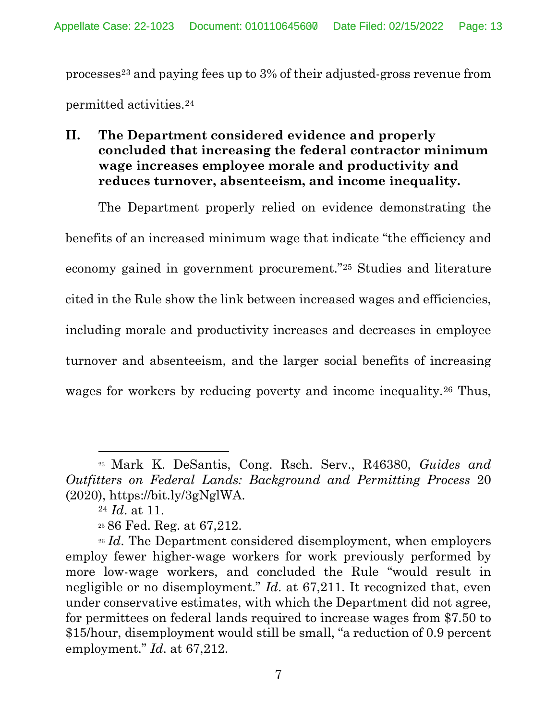processe[s23](#page-29-0) and paying fees up to 3% of their adjusted-gross revenue from permitted activities.[24](#page-29-0)

**II. The Department considered evidence and properly concluded that increasing the federal contractor minimum wage increases employee morale and productivity and reduces turnover, absenteeism, and income inequality.**

The Department properly relied on evidence demonstrating the benefits of an increased minimum wage that indicate "the efficiency and economy gained in government procurement."[25](#page-29-0) Studies and literature cited in the Rule show the link between increased wages and efficiencies, including morale and productivity increases and decreases in employee turnover and absenteeism, and the larger social benefits of increasing wages for workers by reducing poverty and income inequality.<sup>[26](#page-29-0)</sup> Thus,

<sup>23</sup> Mark K. DeSantis, Cong. Rsch. Serv., R46380, *Guides and Outfitters on Federal Lands: Background and Permitting Process* 20 (2020), https://bit.ly/3gNglWA.

<sup>24</sup> *Id*. at 11.

<sup>25</sup> 86 Fed. Reg. at 67,212.

<sup>&</sup>lt;sup>26</sup> *Id.* The Department considered disemployment, when employers employ fewer higher-wage workers for work previously performed by more low-wage workers, and concluded the Rule "would result in negligible or no disemployment." *Id*. at 67,211. It recognized that, even under conservative estimates, with which the Department did not agree, for permittees on federal lands required to increase wages from \$7.50 to \$15/hour, disemployment would still be small, "a reduction of 0.9 percent employment." *Id*. at 67,212.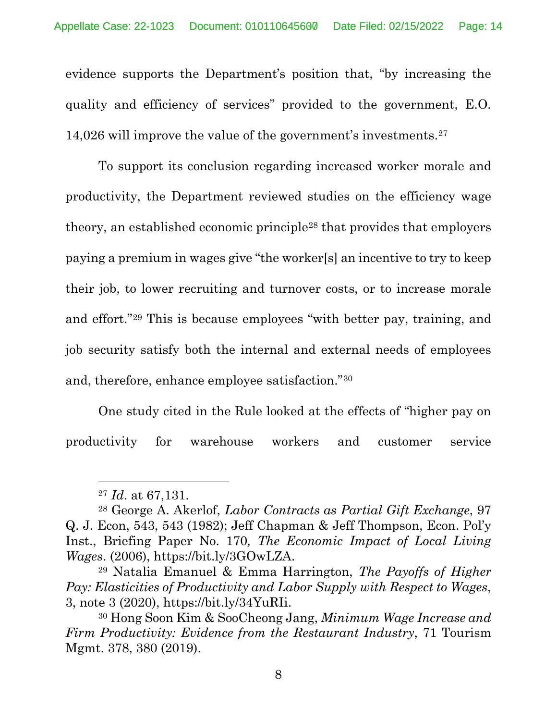evidence supports the Department's position that, "by increasing the quality and efficiency of services" provided to the government, E.O. 14,026 will improve the value of the government's investments.[27](#page-29-0)

To support its conclusion regarding increased worker morale and productivity, the Department reviewed studies on the efficiency wage theory, an established economic principle[28](#page-29-0) that provides that employers paying a premium in wages give "the worker[s] an incentive to try to keep their job, to lower recruiting and turnover costs, or to increase morale and effort."[29](#page-29-0) This is because employees "with better pay, training, and job security satisfy both the internal and external needs of employees and, therefore, enhance employee satisfaction."[30](#page-29-0)

One study cited in the Rule looked at the effects of "higher pay on productivity for warehouse workers and customer service

<sup>27</sup> *Id*. at 67,131.

<sup>28</sup> George A. Akerlof, *Labor Contracts as Partial Gift Exchange*, 97 Q. J. Econ, 543, 543 (1982); Jeff Chapman & Jeff Thompson, Econ. Pol'y Inst., Briefing Paper No. 170*, The Economic Impact of Local Living Wages*. (2006), https://bit.ly/3GOwLZA. 29 Natalia Emanuel & Emma Harrington, *The Payoffs of Higher* 

*Pay: Elasticities of Productivity and Labor Supply with Respect to Wages*, 3, note 3 (2020), https://bit.ly/34YuRIi.

<sup>30</sup> Hong Soon Kim & SooCheong Jang, *Minimum Wage Increase and Firm Productivity: Evidence from the Restaurant Industry*, 71 Tourism Mgmt. 378, 380 (2019).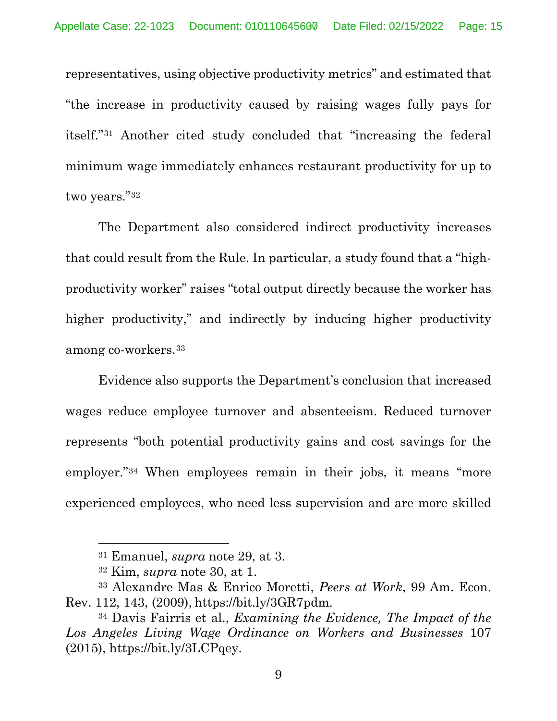representatives, using objective productivity metrics" and estimated that "the increase in productivity caused by raising wages fully pays for itself."[31](#page-29-0) Another cited study concluded that "increasing the federal minimum wage immediately enhances restaurant productivity for up to two years."[32](#page-29-0)

The Department also considered indirect productivity increases that could result from the Rule. In particular, a study found that a "highproductivity worker" raises "total output directly because the worker has higher productivity," and indirectly by inducing higher productivity among co-workers.[33](#page-29-0)

Evidence also supports the Department's conclusion that increased wages reduce employee turnover and absenteeism. Reduced turnover represents "both potential productivity gains and cost savings for the employer.["34](#page-29-0) When employees remain in their jobs, it means "more experienced employees, who need less supervision and are more skilled

<sup>31</sup> Emanuel, *supra* note 29, at 3.

<sup>32</sup> Kim, *supra* note 30, at 1.

<sup>33</sup> Alexandre Mas & Enrico Moretti, *Peers at Work*, 99 Am. Econ. Rev. 112, 143, (2009), https://bit.ly/3GR7pdm.

<sup>34</sup> Davis Fairris et al., *Examining the Evidence, The Impact of the Los Angeles Living Wage Ordinance on Workers and Businesses* 107  $(2015)$ , https://bit.ly/3LCPqey.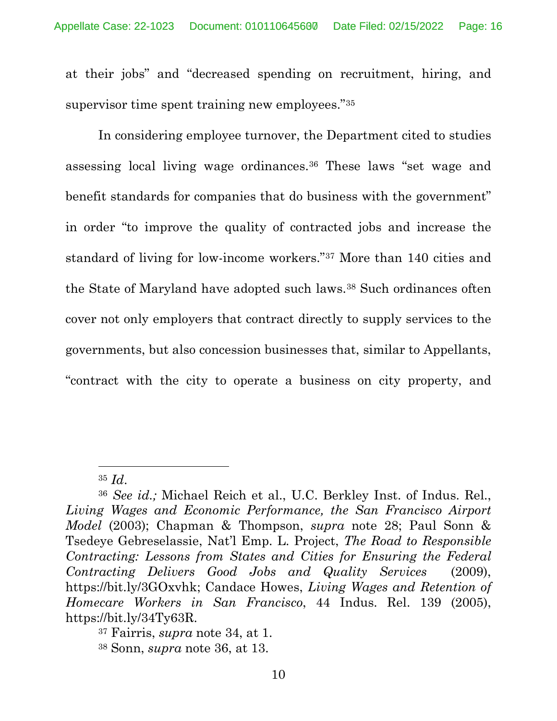at their jobs" and "decreased spending on recruitment, hiring, and supervisor time spent training new employees."[35](#page-29-0)

In considering employee turnover, the Department cited to studies assessing local living wage ordinances.[36](#page-29-0) These laws "set wage and benefit standards for companies that do business with the government" in order "to improve the quality of contracted jobs and increase the standard of living for low-income workers."[37](#page-29-0) More than 140 cities and the State of Maryland have adopted such laws.[38](#page-29-0) Such ordinances often cover not only employers that contract directly to supply services to the governments, but also concession businesses that, similar to Appellants, "contract with the city to operate a business on city property, and

<sup>35</sup> *Id*. 36 *See id.;* Michael Reich et al., U.C. Berkley Inst. of Indus. Rel., *Living Wages and Economic Performance, the San Francisco Airport Model* (2003); Chapman & Thompson, *supra* note 28; Paul Sonn & Tsedeye Gebreselassie, Nat'l Emp. L. Project, *The Road to Responsible Contracting: Lessons from States and Cities for Ensuring the Federal Contracting Delivers Good Jobs and Quality Services* (2009), https://bit.ly/3GOxvhk; Candace Howes, *Living Wages and Retention of Homecare Workers in San Francisco*, 44 Indus. Rel. 139 (2005), https://bit.ly/34Ty63R.

<sup>37</sup> Fairris, *supra* note 34, at 1.

<sup>38</sup> Sonn, *supra* note 36, at 13.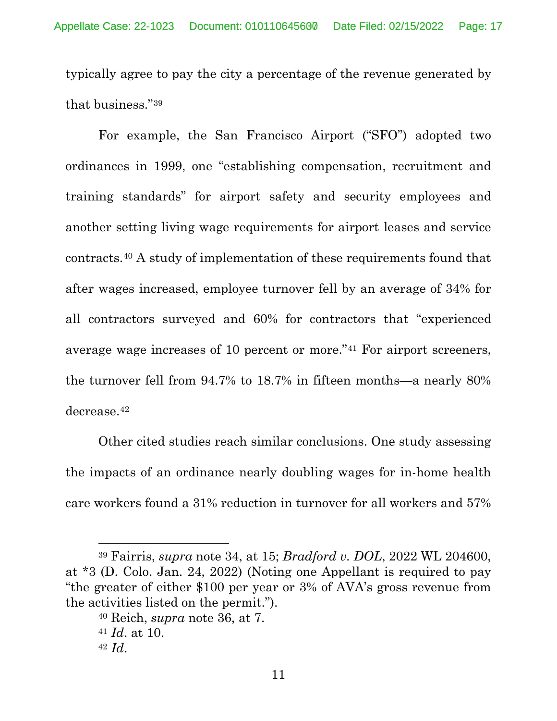typically agree to pay the city a percentage of the revenue generated by that business."[39](#page-29-0)

For example, the San Francisco Airport ("SFO") adopted two ordinances in 1999, one "establishing compensation, recruitment and training standards" for airport safety and security employees and another setting living wage requirements for airport leases and service contracts.[40](#page-29-0) A study of implementation of these requirements found that after wages increased, employee turnover fell by an average of 34% for all contractors surveyed and 60% for contractors that "experienced average wage increases of 10 percent or more."[41](#page-29-0) For airport screeners, the turnover fell from 94.7% to 18.7% in fifteen months—a nearly 80% decrease.[42](#page-29-0)

Other cited studies reach similar conclusions. One study assessing the impacts of an ordinance nearly doubling wages for in-home health care workers found a 31% reduction in turnover for all workers and 57%

<sup>39</sup> Fairris, *supra* note 34, at 15; *Bradford v. DOL*, 2022 WL 204600, at \*3 (D. Colo. Jan. 24, 2022) (Noting one Appellant is required to pay "the greater of either \$100 per year or 3% of AVA's gross revenue from the activities listed on the permit.").

<sup>40</sup> Reich, *supra* note 36, at 7.

<sup>41</sup> *Id*. at 10.

<sup>42</sup> *Id*.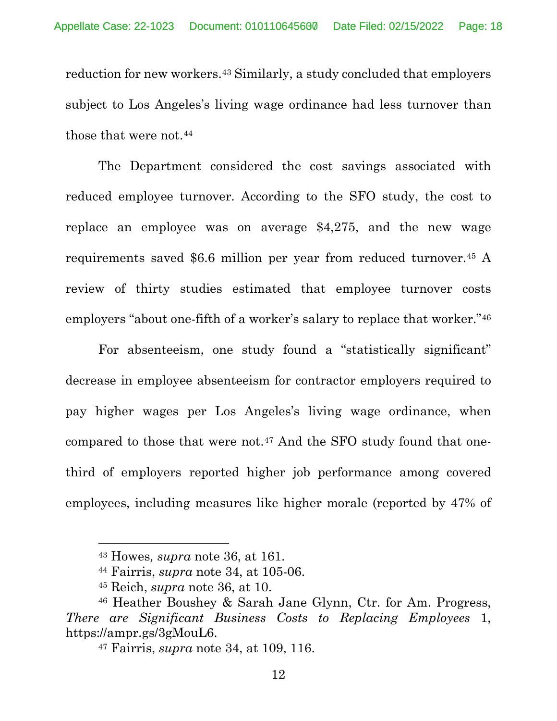reduction for new workers.[43](#page-29-0) Similarly, a study concluded that employers subject to Los Angeles's living wage ordinance had less turnover than those that were not.<sup>[44](#page-29-0)</sup>

The Department considered the cost savings associated with reduced employee turnover. According to the SFO study, the cost to replace an employee was on average \$4,275, and the new wage requirements saved \$6.6 million per year from reduced turnover.[45](#page-29-0) A review of thirty studies estimated that employee turnover costs employers "about one-fifth of a worker's salary to replace that worker."[46](#page-29-0)

For absenteeism, one study found a "statistically significant" decrease in employee absenteeism for contractor employers required to pay higher wages per Los Angeles's living wage ordinance, when compared to those that were not.[47](#page-29-0) And the SFO study found that onethird of employers reported higher job performance among covered employees, including measures like higher morale (reported by 47% of

<sup>43</sup> Howes*, supra* note 36, at 161.

<sup>44</sup> Fairris, *supra* note 34, at 105-06.

<sup>45</sup> Reich, *supra* note 36, at 10.

<sup>46</sup> Heather Boushey & Sarah Jane Glynn, Ctr. for Am. Progress, *There are Significant Business Costs to Replacing Employees* 1, https://ampr.gs/3gMouL6.

<sup>47</sup> Fairris, *supra* note 34, at 109, 116.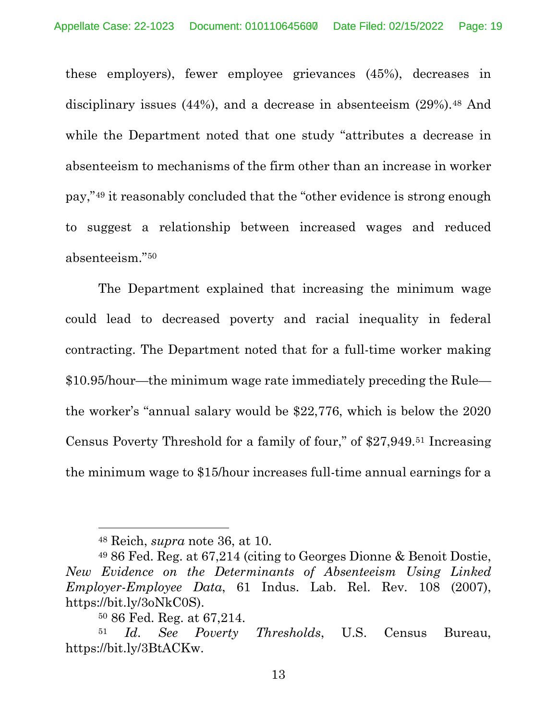these employers), fewer employee grievances (45%), decreases in disciplinary issues  $(44%)$ , and a decrease in absenteeism  $(29%)$ .<sup>[48](#page-29-0)</sup> And while the Department noted that one study "attributes a decrease in absenteeism to mechanisms of the firm other than an increase in worker pay,"[49](#page-29-0) it reasonably concluded that the "other evidence is strong enough to suggest a relationship between increased wages and reduced absenteeism."[50](#page-29-0)

The Department explained that increasing the minimum wage could lead to decreased poverty and racial inequality in federal contracting. The Department noted that for a full-time worker making \$10.95/hour—the minimum wage rate immediately preceding the Rule the worker's "annual salary would be \$22,776, which is below the 2020 Census Poverty Threshold for a family of four," of \$27,949.[51](#page-29-0) Increasing the minimum wage to \$15/hour increases full-time annual earnings for a

<sup>48</sup> Reich, *supra* note 36, at 10.

<sup>49</sup> 86 Fed. Reg. at 67,214 (citing to Georges Dionne & Benoit Dostie, *New Evidence on the Determinants of Absenteeism Using Linked Employer-Employee Data*, 61 Indus. Lab. Rel. Rev. 108 (2007), https://bit.ly/3oNkC0S). 50 86 Fed. Reg. at 67,214.

<sup>51</sup> *Id*. *See Poverty Thresholds*, U.S. Census Bureau, https://bit.ly/3BtACKw.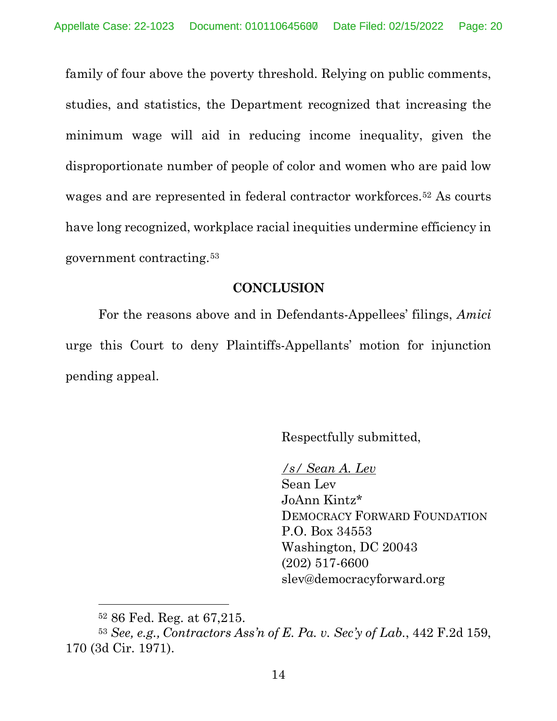family of four above the poverty threshold. Relying on public comments, studies, and statistics, the Department recognized that increasing the minimum wage will aid in reducing income inequality, given the disproportionate number of people of color and women who are paid low wages and are represented in federal contractor workforces.<sup>[52](#page-29-0)</sup> As courts have long recognized, workplace racial inequities undermine efficiency in government contracting.[53](#page-29-0)

#### **CONCLUSION**

For the reasons above and in Defendants-Appellees' filings, *Amici* urge this Court to deny Plaintiffs-Appellants' motion for injunction pending appeal.

Respectfully submitted,

*/s/ Sean A. Lev*  Sean Lev JoAnn Kintz\* DEMOCRACY FORWARD FOUNDATION P.O. Box 34553 Washington, DC 20043 (202) 517-6600 slev@democracyforward.org

<sup>52</sup> 86 Fed. Reg. at 67,215.

<span id="page-29-0"></span><sup>53</sup> *See, e.g., Contractors Ass'n of E. Pa. v. Sec'y of Lab.*, 442 F.2d 159, 170 (3d Cir. 1971).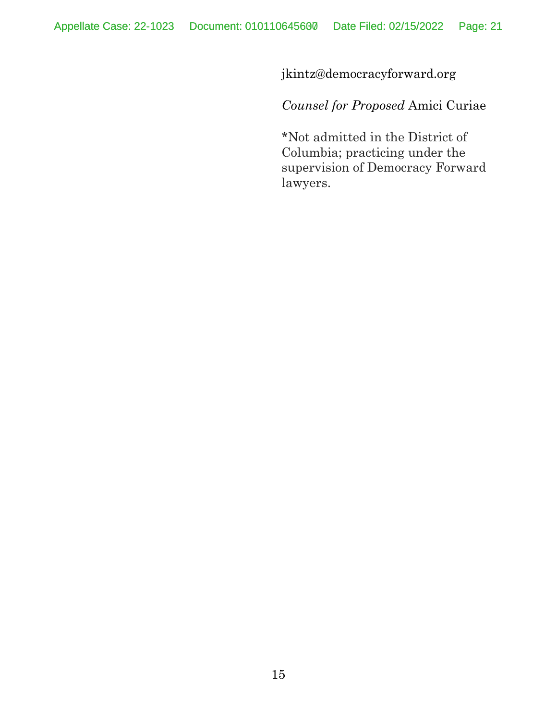jkintz@democracyforward.org

*Counsel for Proposed* Amici Curiae

\*Not admitted in the District of Columbia; practicing under the supervision of Democracy Forward lawyers.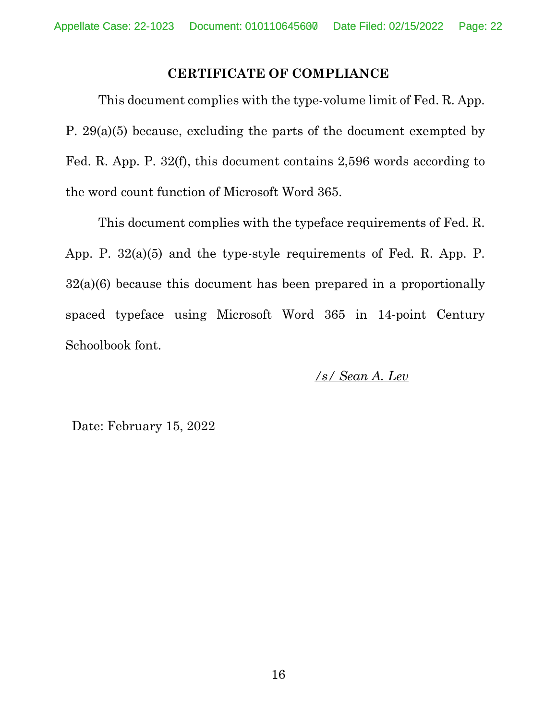### **CERTIFICATE OF COMPLIANCE**

This document complies with the type-volume limit of Fed. R. App. P. 29(a)(5) because, excluding the parts of the document exempted by Fed. R. App. P. 32(f), this document contains 2,596 words according to the word count function of Microsoft Word 365.

This document complies with the typeface requirements of Fed. R. App. P. 32(a)(5) and the type-style requirements of Fed. R. App. P. 32(a)(6) because this document has been prepared in a proportionally spaced typeface using Microsoft Word 365 in 14-point Century Schoolbook font.

*/s/ Sean A. Lev* 

Date: February 15, 2022